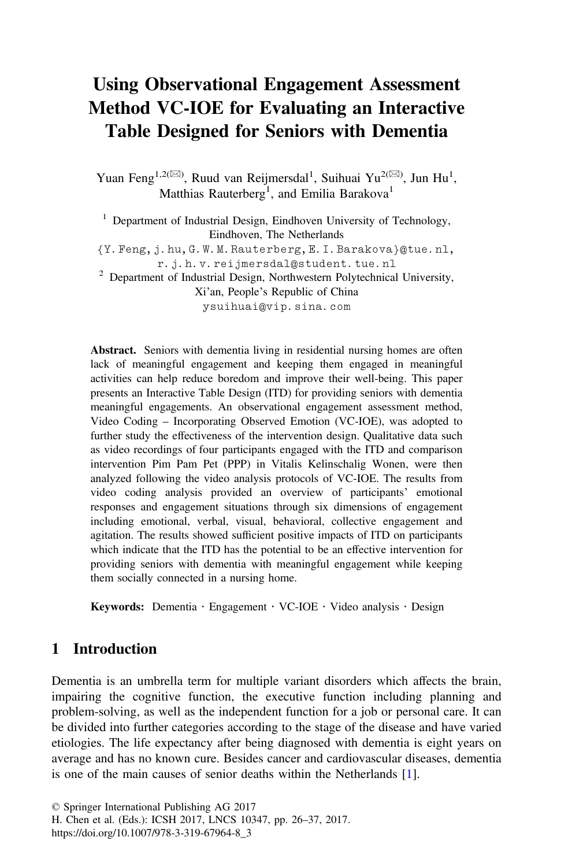# Using Observational Engagement Assessment Method VC-IOE for Evaluating an Interactive Table Designed for Seniors with Dementia

Yuan Feng<sup>1,2( $\boxtimes$ )</sup>, Ruud van Reijmersdal<sup>1</sup>, Suihuai Yu<sup>2( $\boxtimes$ )</sup>, Jun Hu<sup>1</sup>, Matthias Rauterberg<sup>1</sup>, and Emilia Barakova<sup>1</sup>

 $1$  Department of Industrial Design, Eindhoven University of Technology, Eindhoven, The Netherlands

{Y.Feng,j.hu,G.W.M.Rauterberg,E.I.Barakova}@tue.nl, r.j.h.v.reijmersdal@student.tue.nl <sup>2</sup> Department of Industrial Design, Northwestern Polytechnical University,

Xi'an, People's Republic of China

ysuihuai@vip.sina.com

Abstract. Seniors with dementia living in residential nursing homes are often lack of meaningful engagement and keeping them engaged in meaningful activities can help reduce boredom and improve their well-being. This paper presents an Interactive Table Design (ITD) for providing seniors with dementia meaningful engagements. An observational engagement assessment method, Video Coding – Incorporating Observed Emotion (VC-IOE), was adopted to further study the effectiveness of the intervention design. Qualitative data such as video recordings of four participants engaged with the ITD and comparison intervention Pim Pam Pet (PPP) in Vitalis Kelinschalig Wonen, were then analyzed following the video analysis protocols of VC-IOE. The results from video coding analysis provided an overview of participants' emotional responses and engagement situations through six dimensions of engagement including emotional, verbal, visual, behavioral, collective engagement and agitation. The results showed sufficient positive impacts of ITD on participants which indicate that the ITD has the potential to be an effective intervention for providing seniors with dementia with meaningful engagement while keeping them socially connected in a nursing home.

Keywords: Dementia · Engagement · VC-IOE · Video analysis · Design

## 1 Introduction

Dementia is an umbrella term for multiple variant disorders which affects the brain, impairing the cognitive function, the executive function including planning and problem-solving, as well as the independent function for a job or personal care. It can be divided into further categories according to the stage of the disease and have varied etiologies. The life expectancy after being diagnosed with dementia is eight years on average and has no known cure. Besides cancer and cardiovascular diseases, dementia is one of the main causes of senior deaths within the Netherlands [\[1](#page-10-0)].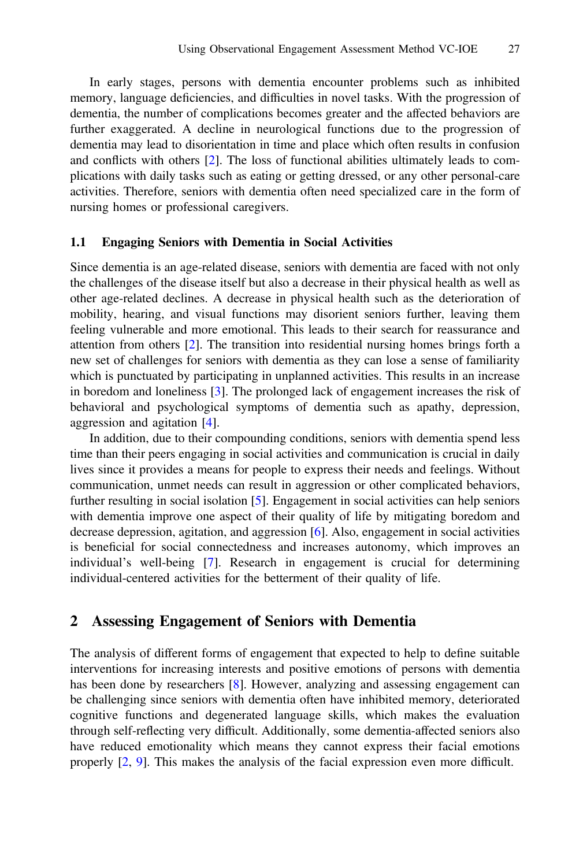In early stages, persons with dementia encounter problems such as inhibited memory, language deficiencies, and difficulties in novel tasks. With the progression of dementia, the number of complications becomes greater and the affected behaviors are further exaggerated. A decline in neurological functions due to the progression of dementia may lead to disorientation in time and place which often results in confusion and conflicts with others [\[2](#page-10-0)]. The loss of functional abilities ultimately leads to complications with daily tasks such as eating or getting dressed, or any other personal-care activities. Therefore, seniors with dementia often need specialized care in the form of nursing homes or professional caregivers.

#### 1.1 Engaging Seniors with Dementia in Social Activities

Since dementia is an age-related disease, seniors with dementia are faced with not only the challenges of the disease itself but also a decrease in their physical health as well as other age-related declines. A decrease in physical health such as the deterioration of mobility, hearing, and visual functions may disorient seniors further, leaving them feeling vulnerable and more emotional. This leads to their search for reassurance and attention from others [\[2](#page-10-0)]. The transition into residential nursing homes brings forth a new set of challenges for seniors with dementia as they can lose a sense of familiarity which is punctuated by participating in unplanned activities. This results in an increase in boredom and loneliness [[3\]](#page-10-0). The prolonged lack of engagement increases the risk of behavioral and psychological symptoms of dementia such as apathy, depression, aggression and agitation [\[4](#page-10-0)].

In addition, due to their compounding conditions, seniors with dementia spend less time than their peers engaging in social activities and communication is crucial in daily lives since it provides a means for people to express their needs and feelings. Without communication, unmet needs can result in aggression or other complicated behaviors, further resulting in social isolation [\[5](#page-10-0)]. Engagement in social activities can help seniors with dementia improve one aspect of their quality of life by mitigating boredom and decrease depression, agitation, and aggression [[6\]](#page-10-0). Also, engagement in social activities is beneficial for social connectedness and increases autonomy, which improves an individual's well-being [\[7](#page-10-0)]. Research in engagement is crucial for determining individual-centered activities for the betterment of their quality of life.

### 2 Assessing Engagement of Seniors with Dementia

The analysis of different forms of engagement that expected to help to define suitable interventions for increasing interests and positive emotions of persons with dementia has been done by researchers [\[8](#page-10-0)]. However, analyzing and assessing engagement can be challenging since seniors with dementia often have inhibited memory, deteriorated cognitive functions and degenerated language skills, which makes the evaluation through self-reflecting very difficult. Additionally, some dementia-affected seniors also have reduced emotionality which means they cannot express their facial emotions properly [[2,](#page-10-0) [9\]](#page-11-0). This makes the analysis of the facial expression even more difficult.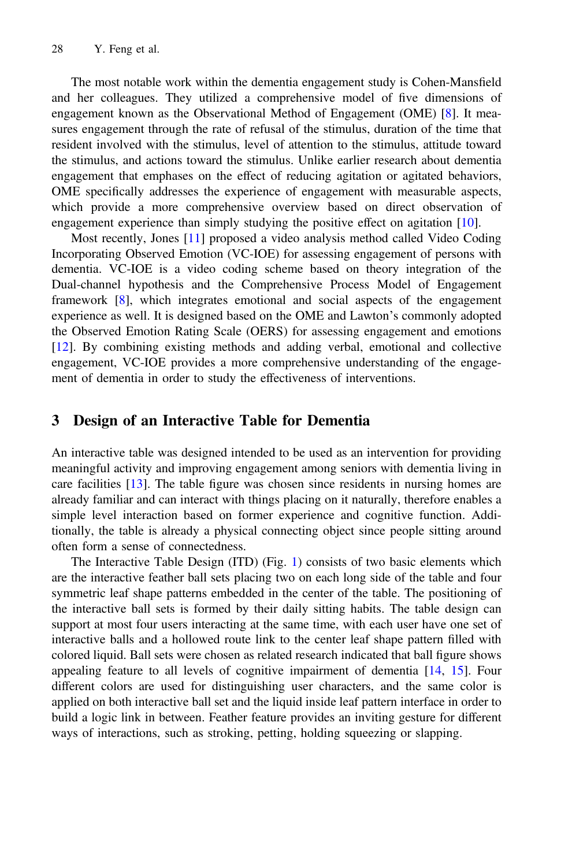The most notable work within the dementia engagement study is Cohen-Mansfield and her colleagues. They utilized a comprehensive model of five dimensions of engagement known as the Observational Method of Engagement (OME) [\[8](#page-10-0)]. It measures engagement through the rate of refusal of the stimulus, duration of the time that resident involved with the stimulus, level of attention to the stimulus, attitude toward the stimulus, and actions toward the stimulus. Unlike earlier research about dementia engagement that emphases on the effect of reducing agitation or agitated behaviors, OME specifically addresses the experience of engagement with measurable aspects, which provide a more comprehensive overview based on direct observation of engagement experience than simply studying the positive effect on agitation [\[10](#page-11-0)].

Most recently, Jones [\[11](#page-11-0)] proposed a video analysis method called Video Coding Incorporating Observed Emotion (VC-IOE) for assessing engagement of persons with dementia. VC-IOE is a video coding scheme based on theory integration of the Dual-channel hypothesis and the Comprehensive Process Model of Engagement framework [\[8](#page-10-0)], which integrates emotional and social aspects of the engagement experience as well. It is designed based on the OME and Lawton's commonly adopted the Observed Emotion Rating Scale (OERS) for assessing engagement and emotions [[12\]](#page-11-0). By combining existing methods and adding verbal, emotional and collective engagement, VC-IOE provides a more comprehensive understanding of the engagement of dementia in order to study the effectiveness of interventions.

### 3 Design of an Interactive Table for Dementia

An interactive table was designed intended to be used as an intervention for providing meaningful activity and improving engagement among seniors with dementia living in care facilities [[13\]](#page-11-0). The table figure was chosen since residents in nursing homes are already familiar and can interact with things placing on it naturally, therefore enables a simple level interaction based on former experience and cognitive function. Additionally, the table is already a physical connecting object since people sitting around often form a sense of connectedness.

The Interactive Table Design (ITD) (Fig. [1\)](#page-3-0) consists of two basic elements which are the interactive feather ball sets placing two on each long side of the table and four symmetric leaf shape patterns embedded in the center of the table. The positioning of the interactive ball sets is formed by their daily sitting habits. The table design can support at most four users interacting at the same time, with each user have one set of interactive balls and a hollowed route link to the center leaf shape pattern filled with colored liquid. Ball sets were chosen as related research indicated that ball figure shows appealing feature to all levels of cognitive impairment of dementia [\[14](#page-11-0), [15\]](#page-11-0). Four different colors are used for distinguishing user characters, and the same color is applied on both interactive ball set and the liquid inside leaf pattern interface in order to build a logic link in between. Feather feature provides an inviting gesture for different ways of interactions, such as stroking, petting, holding squeezing or slapping.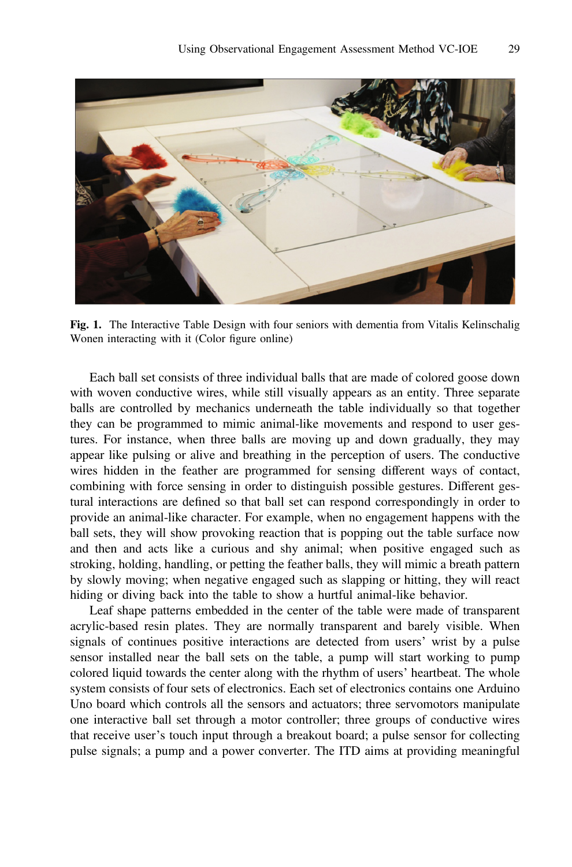<span id="page-3-0"></span>

Fig. 1. The Interactive Table Design with four seniors with dementia from Vitalis Kelinschalig Wonen interacting with it (Color figure online)

Each ball set consists of three individual balls that are made of colored goose down with woven conductive wires, while still visually appears as an entity. Three separate balls are controlled by mechanics underneath the table individually so that together they can be programmed to mimic animal-like movements and respond to user gestures. For instance, when three balls are moving up and down gradually, they may appear like pulsing or alive and breathing in the perception of users. The conductive wires hidden in the feather are programmed for sensing different ways of contact, combining with force sensing in order to distinguish possible gestures. Different gestural interactions are defined so that ball set can respond correspondingly in order to provide an animal-like character. For example, when no engagement happens with the ball sets, they will show provoking reaction that is popping out the table surface now and then and acts like a curious and shy animal; when positive engaged such as stroking, holding, handling, or petting the feather balls, they will mimic a breath pattern by slowly moving; when negative engaged such as slapping or hitting, they will react hiding or diving back into the table to show a hurtful animal-like behavior.

Leaf shape patterns embedded in the center of the table were made of transparent acrylic-based resin plates. They are normally transparent and barely visible. When signals of continues positive interactions are detected from users' wrist by a pulse sensor installed near the ball sets on the table, a pump will start working to pump colored liquid towards the center along with the rhythm of users' heartbeat. The whole system consists of four sets of electronics. Each set of electronics contains one Arduino Uno board which controls all the sensors and actuators; three servomotors manipulate one interactive ball set through a motor controller; three groups of conductive wires that receive user's touch input through a breakout board; a pulse sensor for collecting pulse signals; a pump and a power converter. The ITD aims at providing meaningful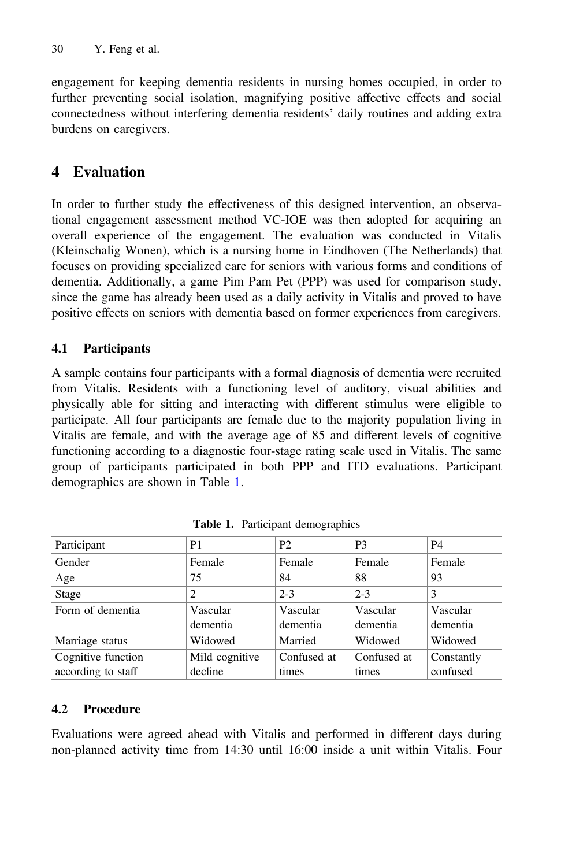engagement for keeping dementia residents in nursing homes occupied, in order to further preventing social isolation, magnifying positive affective effects and social connectedness without interfering dementia residents' daily routines and adding extra burdens on caregivers.

# 4 Evaluation

In order to further study the effectiveness of this designed intervention, an observational engagement assessment method VC-IOE was then adopted for acquiring an overall experience of the engagement. The evaluation was conducted in Vitalis (Kleinschalig Wonen), which is a nursing home in Eindhoven (The Netherlands) that focuses on providing specialized care for seniors with various forms and conditions of dementia. Additionally, a game Pim Pam Pet (PPP) was used for comparison study, since the game has already been used as a daily activity in Vitalis and proved to have positive effects on seniors with dementia based on former experiences from caregivers.

### 4.1 Participants

A sample contains four participants with a formal diagnosis of dementia were recruited from Vitalis. Residents with a functioning level of auditory, visual abilities and physically able for sitting and interacting with different stimulus were eligible to participate. All four participants are female due to the majority population living in Vitalis are female, and with the average age of 85 and different levels of cognitive functioning according to a diagnostic four-stage rating scale used in Vitalis. The same group of participants participated in both PPP and ITD evaluations. Participant demographics are shown in Table 1.

| Participant        | P1             | P <sub>2</sub> | P <sub>3</sub> | P <sub>4</sub> |
|--------------------|----------------|----------------|----------------|----------------|
| Gender             | Female         | Female         | Female         | Female         |
| Age                | 75             | 84             | 88             | 93             |
| Stage              | 2              | $2 - 3$        | $2 - 3$        | 3              |
| Form of dementia   | Vascular       | Vascular       | Vascular       | Vascular       |
|                    | dementia       | dementia       | dementia       | dementia       |
| Marriage status    | Widowed        | Married        | Widowed        | Widowed        |
| Cognitive function | Mild cognitive | Confused at    | Confused at    | Constantly     |
| according to staff | decline        | times          | times          | confused       |

Table 1. Participant demographics

## 4.2 Procedure

Evaluations were agreed ahead with Vitalis and performed in different days during non-planned activity time from 14:30 until 16:00 inside a unit within Vitalis. Four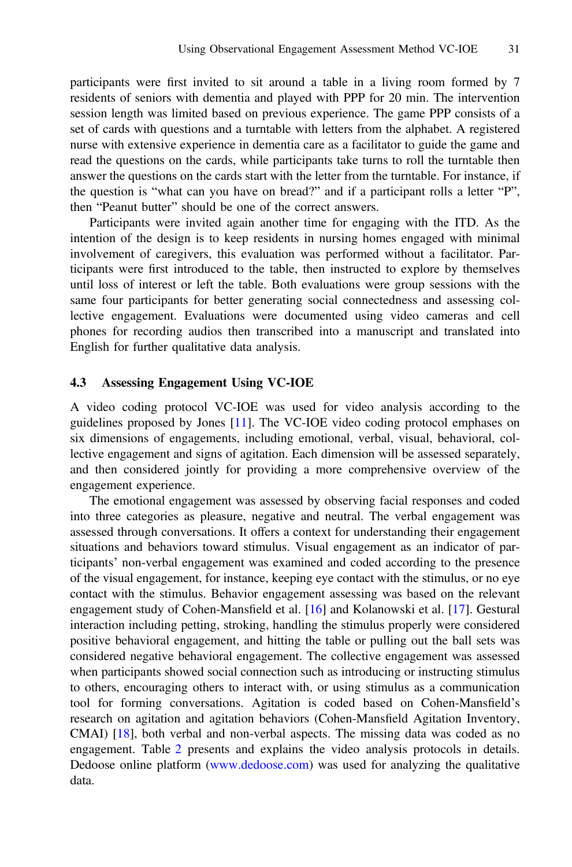participants were first invited to sit around a table in a living room formed by 7 residents of seniors with dementia and played with PPP for 20 min. The intervention session length was limited based on previous experience. The game PPP consists of a set of cards with questions and a turntable with letters from the alphabet. A registered nurse with extensive experience in dementia care as a facilitator to guide the game and read the questions on the cards, while participants take turns to roll the turntable then answer the questions on the cards start with the letter from the turntable. For instance, if the question is "what can you have on bread?" and if a participant rolls a letter "P", then "Peanut butter" should be one of the correct answers.

Participants were invited again another time for engaging with the ITD. As the intention of the design is to keep residents in nursing homes engaged with minimal involvement of caregivers, this evaluation was performed without a facilitator. Participants were first introduced to the table, then instructed to explore by themselves until loss of interest or left the table. Both evaluations were group sessions with the same four participants for better generating social connectedness and assessing collective engagement. Evaluations were documented using video cameras and cell phones for recording audios then transcribed into a manuscript and translated into English for further qualitative data analysis.

#### 4.3 Assessing Engagement Using VC-IOE

A video coding protocol VC-IOE was used for video analysis according to the guidelines proposed by Jones [\[11](#page-11-0)]. The VC-IOE video coding protocol emphases on six dimensions of engagements, including emotional, verbal, visual, behavioral, collective engagement and signs of agitation. Each dimension will be assessed separately, and then considered jointly for providing a more comprehensive overview of the engagement experience.

The emotional engagement was assessed by observing facial responses and coded into three categories as pleasure, negative and neutral. The verbal engagement was assessed through conversations. It offers a context for understanding their engagement situations and behaviors toward stimulus. Visual engagement as an indicator of participants' non-verbal engagement was examined and coded according to the presence of the visual engagement, for instance, keeping eye contact with the stimulus, or no eye contact with the stimulus. Behavior engagement assessing was based on the relevant engagement study of Cohen-Mansfield et al. [[16\]](#page-11-0) and Kolanowski et al. [[17\]](#page-11-0). Gestural interaction including petting, stroking, handling the stimulus properly were considered positive behavioral engagement, and hitting the table or pulling out the ball sets was considered negative behavioral engagement. The collective engagement was assessed when participants showed social connection such as introducing or instructing stimulus to others, encouraging others to interact with, or using stimulus as a communication tool for forming conversations. Agitation is coded based on Cohen-Mansfield's research on agitation and agitation behaviors (Cohen-Mansfield Agitation Inventory, CMAI) [[18\]](#page-11-0), both verbal and non-verbal aspects. The missing data was coded as no engagement. Table [2](#page-6-0) presents and explains the video analysis protocols in details. Dedoose online platform [\(www.dedoose.com](http://www.dedoose.com)) was used for analyzing the qualitative data.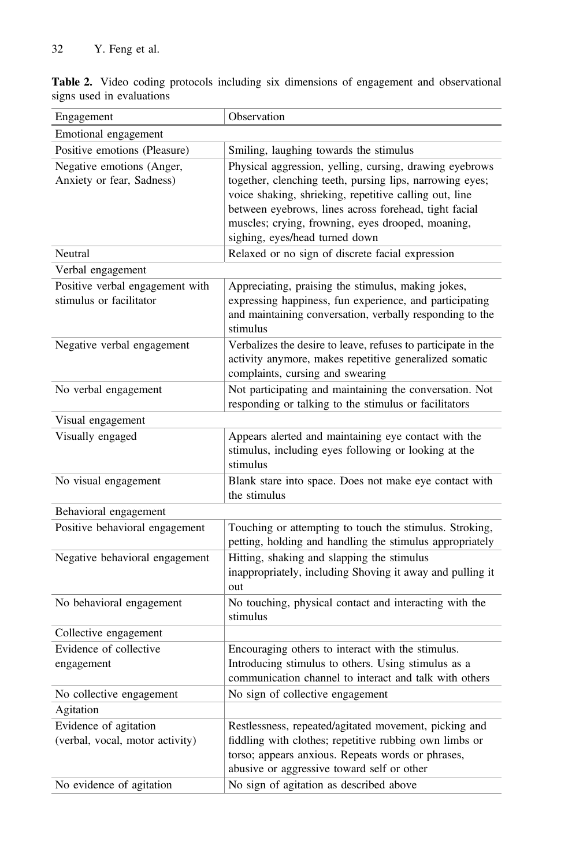| Engagement                                                 | Observation                                                                                                                                                                                                                                                                                                                   |
|------------------------------------------------------------|-------------------------------------------------------------------------------------------------------------------------------------------------------------------------------------------------------------------------------------------------------------------------------------------------------------------------------|
| Emotional engagement                                       |                                                                                                                                                                                                                                                                                                                               |
| Positive emotions (Pleasure)                               | Smiling, laughing towards the stimulus                                                                                                                                                                                                                                                                                        |
| Negative emotions (Anger,<br>Anxiety or fear, Sadness)     | Physical aggression, yelling, cursing, drawing eyebrows<br>together, clenching teeth, pursing lips, narrowing eyes;<br>voice shaking, shrieking, repetitive calling out, line<br>between eyebrows, lines across forehead, tight facial<br>muscles; crying, frowning, eyes drooped, moaning,<br>sighing, eyes/head turned down |
| Neutral                                                    | Relaxed or no sign of discrete facial expression                                                                                                                                                                                                                                                                              |
| Verbal engagement                                          |                                                                                                                                                                                                                                                                                                                               |
| Positive verbal engagement with<br>stimulus or facilitator | Appreciating, praising the stimulus, making jokes,<br>expressing happiness, fun experience, and participating<br>and maintaining conversation, verbally responding to the<br>stimulus                                                                                                                                         |
| Negative verbal engagement                                 | Verbalizes the desire to leave, refuses to participate in the<br>activity anymore, makes repetitive generalized somatic<br>complaints, cursing and swearing                                                                                                                                                                   |
| No verbal engagement                                       | Not participating and maintaining the conversation. Not<br>responding or talking to the stimulus or facilitators                                                                                                                                                                                                              |
| Visual engagement                                          |                                                                                                                                                                                                                                                                                                                               |
| Visually engaged                                           | Appears alerted and maintaining eye contact with the<br>stimulus, including eyes following or looking at the<br>stimulus                                                                                                                                                                                                      |
| No visual engagement                                       | Blank stare into space. Does not make eye contact with<br>the stimulus                                                                                                                                                                                                                                                        |
| Behavioral engagement                                      |                                                                                                                                                                                                                                                                                                                               |
| Positive behavioral engagement                             | Touching or attempting to touch the stimulus. Stroking,<br>petting, holding and handling the stimulus appropriately                                                                                                                                                                                                           |
| Negative behavioral engagement                             | Hitting, shaking and slapping the stimulus<br>inappropriately, including Shoving it away and pulling it<br>out                                                                                                                                                                                                                |
| No behavioral engagement                                   | No touching, physical contact and interacting with the<br>stimulus                                                                                                                                                                                                                                                            |
| Collective engagement                                      |                                                                                                                                                                                                                                                                                                                               |
| Evidence of collective<br>engagement                       | Encouraging others to interact with the stimulus.<br>Introducing stimulus to others. Using stimulus as a<br>communication channel to interact and talk with others                                                                                                                                                            |
| No collective engagement                                   | No sign of collective engagement                                                                                                                                                                                                                                                                                              |
| Agitation                                                  |                                                                                                                                                                                                                                                                                                                               |
| Evidence of agitation<br>(verbal, vocal, motor activity)   | Restlessness, repeated/agitated movement, picking and<br>fiddling with clothes; repetitive rubbing own limbs or<br>torso; appears anxious. Repeats words or phrases,<br>abusive or aggressive toward self or other                                                                                                            |
| No evidence of agitation                                   | No sign of agitation as described above                                                                                                                                                                                                                                                                                       |

<span id="page-6-0"></span>Table 2. Video coding protocols including six dimensions of engagement and observational signs used in evaluations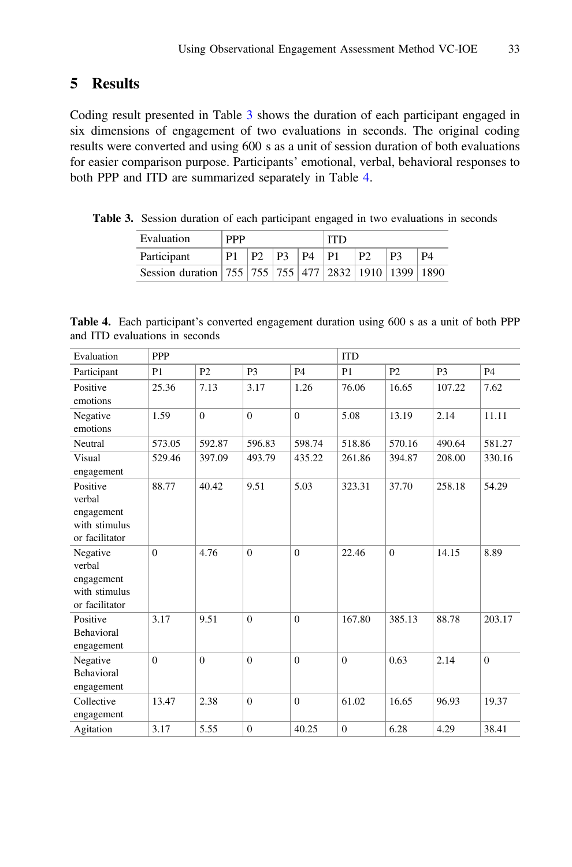### 5 Results

Coding result presented in Table 3 shows the duration of each participant engaged in six dimensions of engagement of two evaluations in seconds. The original coding results were converted and using 600 s as a unit of session duration of both evaluations for easier comparison purpose. Participants' emotional, verbal, behavioral responses to both PPP and ITD are summarized separately in Table 4.

| Evaluation                                                           | <b>PPP</b>     |    |    |                | ITD            |  |  |    |
|----------------------------------------------------------------------|----------------|----|----|----------------|----------------|--|--|----|
| Participant                                                          | P <sub>1</sub> | D) | P3 | P <sub>4</sub> | $\mathbf{p}_1$ |  |  | PΔ |
| Session duration   755   755   755   477   2832   1910   1399   1890 |                |    |    |                |                |  |  |    |

Table 3. Session duration of each participant engaged in two evaluations in seconds

Table 4. Each participant's converted engagement duration using 600 s as a unit of both PPP and ITD evaluations in seconds

| Evaluation                  | <b>PPP</b>     |                |                |                | <b>ITD</b>     |                |                |           |
|-----------------------------|----------------|----------------|----------------|----------------|----------------|----------------|----------------|-----------|
| Participant                 | P <sub>1</sub> | P <sub>2</sub> | P <sub>3</sub> | P <sub>4</sub> | P <sub>1</sub> | P2             | P <sub>3</sub> | <b>P4</b> |
| Positive                    | 25.36          | 7.13           | 3.17           | 1.26           | 76.06          | 16.65          | 107.22         | 7.62      |
| emotions                    |                |                |                |                |                |                |                |           |
| Negative                    | 1.59           | $\overline{0}$ | $\theta$       | $\overline{0}$ | 5.08           | 13.19          | 2.14           | 11.11     |
| emotions                    |                |                |                |                |                |                |                |           |
| Neutral                     | 573.05         | 592.87         | 596.83         | 598.74         | 518.86         | 570.16         | 490.64         | 581.27    |
| Visual                      | 529.46         | 397.09         | 493.79         | 435.22         | 261.86         | 394.87         | 208.00         | 330.16    |
| engagement                  |                |                |                |                |                |                |                |           |
| Positive                    | 88.77          | 40.42          | 9.51           | 5.03           | 323.31         | 37.70          | 258.18         | 54.29     |
| verbal                      |                |                |                |                |                |                |                |           |
| engagement                  |                |                |                |                |                |                |                |           |
| with stimulus               |                |                |                |                |                |                |                |           |
| or facilitator              |                |                |                |                |                |                |                |           |
| Negative                    | $\overline{0}$ | 4.76           | $\theta$       | $\overline{0}$ | 22.46          | $\overline{0}$ | 14.15          | 8.89      |
| verbal                      |                |                |                |                |                |                |                |           |
| engagement<br>with stimulus |                |                |                |                |                |                |                |           |
| or facilitator              |                |                |                |                |                |                |                |           |
| Positive                    | 3.17           | 9.51           | $\mathbf{0}$   | $\overline{0}$ | 167.80         | 385.13         | 88.78          | 203.17    |
| Behavioral                  |                |                |                |                |                |                |                |           |
| engagement                  |                |                |                |                |                |                |                |           |
| Negative                    | $\theta$       | $\overline{0}$ | $\Omega$       | $\Omega$       | $\Omega$       | 0.63           | 2.14           | $\Omega$  |
| Behavioral                  |                |                |                |                |                |                |                |           |
| engagement                  |                |                |                |                |                |                |                |           |
| Collective                  | 13.47          | 2.38           | $\theta$       | $\overline{0}$ | 61.02          | 16.65          | 96.93          | 19.37     |
| engagement                  |                |                |                |                |                |                |                |           |
| Agitation                   | 3.17           | 5.55           | $\overline{0}$ | 40.25          | $\overline{0}$ | 6.28           | 4.29           | 38.41     |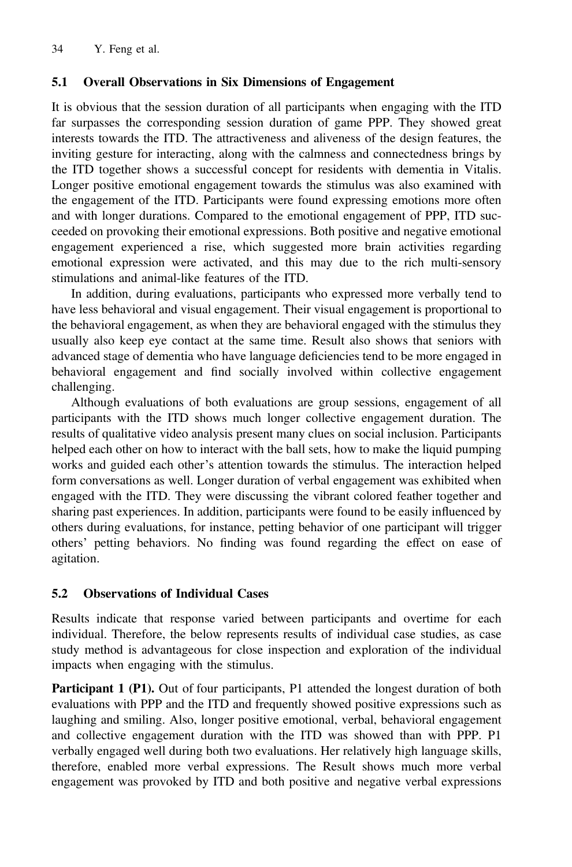### 5.1 Overall Observations in Six Dimensions of Engagement

It is obvious that the session duration of all participants when engaging with the ITD far surpasses the corresponding session duration of game PPP. They showed great interests towards the ITD. The attractiveness and aliveness of the design features, the inviting gesture for interacting, along with the calmness and connectedness brings by the ITD together shows a successful concept for residents with dementia in Vitalis. Longer positive emotional engagement towards the stimulus was also examined with the engagement of the ITD. Participants were found expressing emotions more often and with longer durations. Compared to the emotional engagement of PPP, ITD succeeded on provoking their emotional expressions. Both positive and negative emotional engagement experienced a rise, which suggested more brain activities regarding emotional expression were activated, and this may due to the rich multi-sensory stimulations and animal-like features of the ITD.

In addition, during evaluations, participants who expressed more verbally tend to have less behavioral and visual engagement. Their visual engagement is proportional to the behavioral engagement, as when they are behavioral engaged with the stimulus they usually also keep eye contact at the same time. Result also shows that seniors with advanced stage of dementia who have language deficiencies tend to be more engaged in behavioral engagement and find socially involved within collective engagement challenging.

Although evaluations of both evaluations are group sessions, engagement of all participants with the ITD shows much longer collective engagement duration. The results of qualitative video analysis present many clues on social inclusion. Participants helped each other on how to interact with the ball sets, how to make the liquid pumping works and guided each other's attention towards the stimulus. The interaction helped form conversations as well. Longer duration of verbal engagement was exhibited when engaged with the ITD. They were discussing the vibrant colored feather together and sharing past experiences. In addition, participants were found to be easily influenced by others during evaluations, for instance, petting behavior of one participant will trigger others' petting behaviors. No finding was found regarding the effect on ease of agitation.

#### 5.2 Observations of Individual Cases

Results indicate that response varied between participants and overtime for each individual. Therefore, the below represents results of individual case studies, as case study method is advantageous for close inspection and exploration of the individual impacts when engaging with the stimulus.

**Participant 1 (P1).** Out of four participants, P1 attended the longest duration of both evaluations with PPP and the ITD and frequently showed positive expressions such as laughing and smiling. Also, longer positive emotional, verbal, behavioral engagement and collective engagement duration with the ITD was showed than with PPP. P1 verbally engaged well during both two evaluations. Her relatively high language skills, therefore, enabled more verbal expressions. The Result shows much more verbal engagement was provoked by ITD and both positive and negative verbal expressions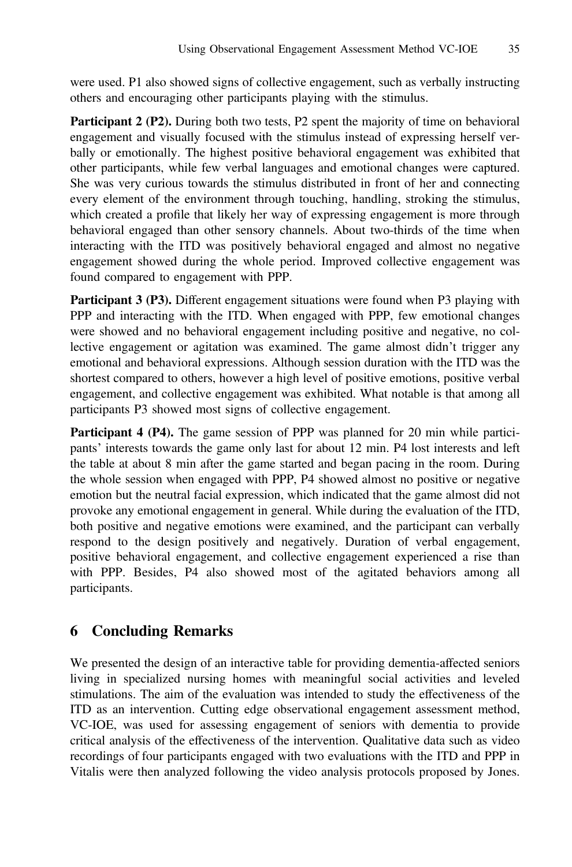were used. P1 also showed signs of collective engagement, such as verbally instructing others and encouraging other participants playing with the stimulus.

**Participant 2 (P2).** During both two tests, P2 spent the majority of time on behavioral engagement and visually focused with the stimulus instead of expressing herself verbally or emotionally. The highest positive behavioral engagement was exhibited that other participants, while few verbal languages and emotional changes were captured. She was very curious towards the stimulus distributed in front of her and connecting every element of the environment through touching, handling, stroking the stimulus, which created a profile that likely her way of expressing engagement is more through behavioral engaged than other sensory channels. About two-thirds of the time when interacting with the ITD was positively behavioral engaged and almost no negative engagement showed during the whole period. Improved collective engagement was found compared to engagement with PPP.

Participant 3 (P3). Different engagement situations were found when P3 playing with PPP and interacting with the ITD. When engaged with PPP, few emotional changes were showed and no behavioral engagement including positive and negative, no collective engagement or agitation was examined. The game almost didn't trigger any emotional and behavioral expressions. Although session duration with the ITD was the shortest compared to others, however a high level of positive emotions, positive verbal engagement, and collective engagement was exhibited. What notable is that among all participants P3 showed most signs of collective engagement.

**Participant 4 (P4).** The game session of PPP was planned for 20 min while participants' interests towards the game only last for about 12 min. P4 lost interests and left the table at about 8 min after the game started and began pacing in the room. During the whole session when engaged with PPP, P4 showed almost no positive or negative emotion but the neutral facial expression, which indicated that the game almost did not provoke any emotional engagement in general. While during the evaluation of the ITD, both positive and negative emotions were examined, and the participant can verbally respond to the design positively and negatively. Duration of verbal engagement, positive behavioral engagement, and collective engagement experienced a rise than with PPP. Besides, P4 also showed most of the agitated behaviors among all participants.

## 6 Concluding Remarks

We presented the design of an interactive table for providing dementia-affected seniors living in specialized nursing homes with meaningful social activities and leveled stimulations. The aim of the evaluation was intended to study the effectiveness of the ITD as an intervention. Cutting edge observational engagement assessment method, VC-IOE, was used for assessing engagement of seniors with dementia to provide critical analysis of the effectiveness of the intervention. Qualitative data such as video recordings of four participants engaged with two evaluations with the ITD and PPP in Vitalis were then analyzed following the video analysis protocols proposed by Jones.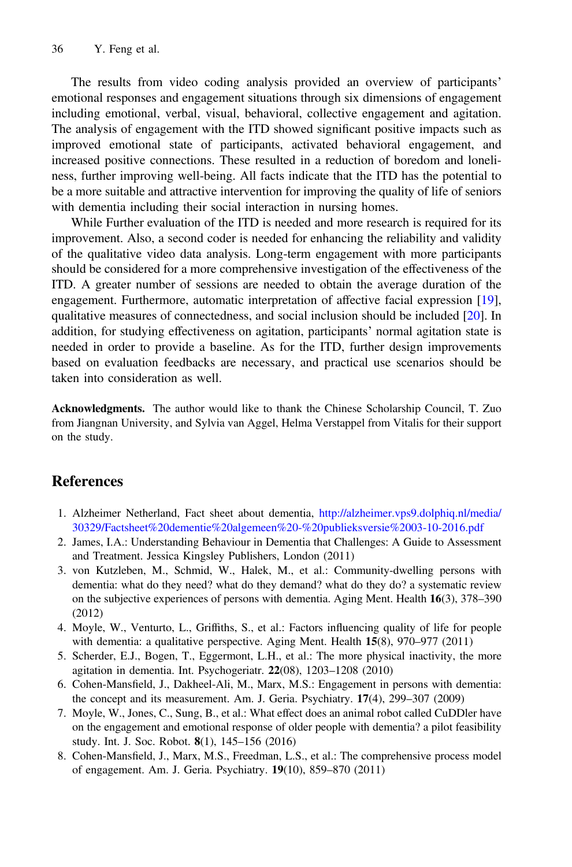<span id="page-10-0"></span>The results from video coding analysis provided an overview of participants' emotional responses and engagement situations through six dimensions of engagement including emotional, verbal, visual, behavioral, collective engagement and agitation. The analysis of engagement with the ITD showed significant positive impacts such as improved emotional state of participants, activated behavioral engagement, and increased positive connections. These resulted in a reduction of boredom and loneliness, further improving well-being. All facts indicate that the ITD has the potential to be a more suitable and attractive intervention for improving the quality of life of seniors with dementia including their social interaction in nursing homes.

While Further evaluation of the ITD is needed and more research is required for its improvement. Also, a second coder is needed for enhancing the reliability and validity of the qualitative video data analysis. Long-term engagement with more participants should be considered for a more comprehensive investigation of the effectiveness of the ITD. A greater number of sessions are needed to obtain the average duration of the engagement. Furthermore, automatic interpretation of affective facial expression [[19\]](#page-11-0), qualitative measures of connectedness, and social inclusion should be included [[20\]](#page-11-0). In addition, for studying effectiveness on agitation, participants' normal agitation state is needed in order to provide a baseline. As for the ITD, further design improvements based on evaluation feedbacks are necessary, and practical use scenarios should be taken into consideration as well.

Acknowledgments. The author would like to thank the Chinese Scholarship Council, T. Zuo from Jiangnan University, and Sylvia van Aggel, Helma Verstappel from Vitalis for their support on the study.

# **References**

- 1. Alzheimer Netherland, Fact sheet about dementia, [http://alzheimer.vps9.dolphiq.nl/media/](http://alzheimer.vps9.dolphiq.nl/media/30329/Factsheet%20dementie%20algemeen%20-%20publieksversie%2003-10-2016.pdf) [30329/Factsheet%20dementie%20algemeen%20-%20publieksversie%2003-10-2016.pdf](http://alzheimer.vps9.dolphiq.nl/media/30329/Factsheet%20dementie%20algemeen%20-%20publieksversie%2003-10-2016.pdf)
- 2. James, I.A.: Understanding Behaviour in Dementia that Challenges: A Guide to Assessment and Treatment. Jessica Kingsley Publishers, London (2011)
- 3. von Kutzleben, M., Schmid, W., Halek, M., et al.: Community-dwelling persons with dementia: what do they need? what do they demand? what do they do? a systematic review on the subjective experiences of persons with dementia. Aging Ment. Health 16(3), 378–390 (2012)
- 4. Moyle, W., Venturto, L., Griffiths, S., et al.: Factors influencing quality of life for people with dementia: a qualitative perspective. Aging Ment. Health 15(8), 970–977 (2011)
- 5. Scherder, E.J., Bogen, T., Eggermont, L.H., et al.: The more physical inactivity, the more agitation in dementia. Int. Psychogeriatr. 22(08), 1203–1208 (2010)
- 6. Cohen-Mansfield, J., Dakheel-Ali, M., Marx, M.S.: Engagement in persons with dementia: the concept and its measurement. Am. J. Geria. Psychiatry. 17(4), 299–307 (2009)
- 7. Moyle, W., Jones, C., Sung, B., et al.: What effect does an animal robot called CuDDler have on the engagement and emotional response of older people with dementia? a pilot feasibility study. Int. J. Soc. Robot. 8(1), 145–156 (2016)
- 8. Cohen-Mansfield, J., Marx, M.S., Freedman, L.S., et al.: The comprehensive process model of engagement. Am. J. Geria. Psychiatry. 19(10), 859–870 (2011)